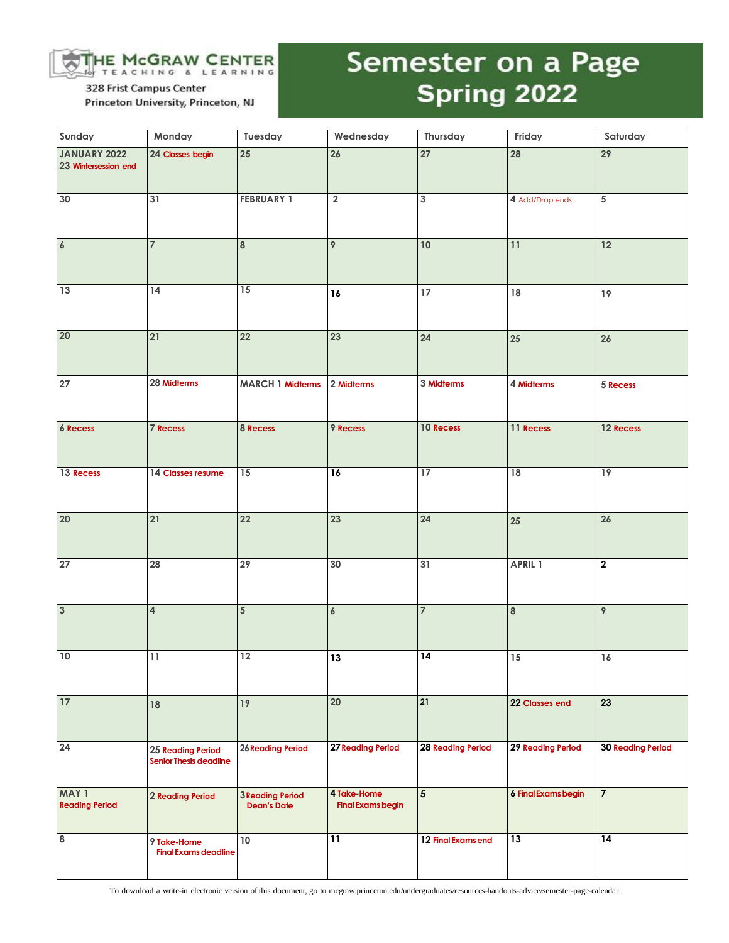

328 Frist Campus Center Princeton University, Princeton, NJ

## Semester on a Page Spring 2022

| Sunday                               | Monday                                                    | Tuesday                                       | Wednesday                               | Thursday                 | Friday                     | Saturday                 |
|--------------------------------------|-----------------------------------------------------------|-----------------------------------------------|-----------------------------------------|--------------------------|----------------------------|--------------------------|
| JANUARY 2022<br>23 Wintersession end | 24 Classes begin                                          | 25                                            | 26                                      | 27                       | 28                         | 29                       |
| 30                                   | 31                                                        | <b>FEBRUARY 1</b>                             | $\overline{\mathbf{2}}$                 | 3                        | 4 Add/Drop ends            | 5                        |
| $\pmb{6}$                            | $\overline{7}$                                            | $\bf8$                                        | 9                                       | $10$                     | 11                         | 12                       |
| 13                                   | 14                                                        | 15                                            | 16                                      | 17 <sup>17</sup>         | 18                         | $19$                     |
| 20                                   | 21                                                        | 22                                            | 23                                      | 24                       | 25                         | 26                       |
| 27                                   | 28 Midterms                                               | <b>MARCH 1 Midterms</b>                       | 2 Midterms                              | 3 Midterms               | 4 Midterms                 | 5 Recess                 |
| <b>6 Recess</b>                      | <b>7 Recess</b>                                           | 8 Recess                                      | 9 Recess                                | 10 Recess                | 11 Recess                  | 12 Recess                |
| 13 Recess                            | 14 Classes resume                                         | 15                                            | 16                                      | 17                       | 18                         | 19                       |
| 20                                   | 21                                                        | 22                                            | 23                                      | 24                       | 25                         | 26                       |
| 27                                   | 28                                                        | 29                                            | 30                                      | 31                       | APRIL 1                    | $\overline{\mathbf{2}}$  |
| $\overline{3}$                       | $\overline{\mathbf{4}}$                                   | 5                                             | $\boldsymbol{6}$                        | $\overline{7}$           | $\bf{8}$                   | $\overline{9}$           |
| 10                                   | 11                                                        | $\overline{12}$                               | 13                                      | $\overline{14}$          | 15                         | 16                       |
| 17                                   | 18                                                        | 19                                            | 20                                      | 21                       | 22 Classes end             | 23                       |
| 24                                   | <b>25 Reading Period</b><br><b>Senior Thesis deadline</b> | <b>26 Reading Period</b>                      | <b>27 Reading Period</b>                | <b>28 Reading Period</b> | <b>29 Reading Period</b>   | <b>30 Reading Period</b> |
| MAY 1<br><b>Reading Period</b>       | 2 Reading Period                                          | <b>3 Reading Period</b><br><b>Dean's Date</b> | 4 Take-Home<br><b>Final Exams begin</b> | 5                        | <b>6 Final Exams begin</b> | $\overline{7}$           |
| $\overline{\mathbf{8}}$              | 9 Take-Home<br><b>Final Exams deadline</b>                | $10$                                          | 11                                      | 12 Final Examsend        | 13                         | 14                       |

To download a write-in electronic version of this document, go to mcgraw.princeton.edu/undergraduates/resources-handouts-advice/semester-page-calendar